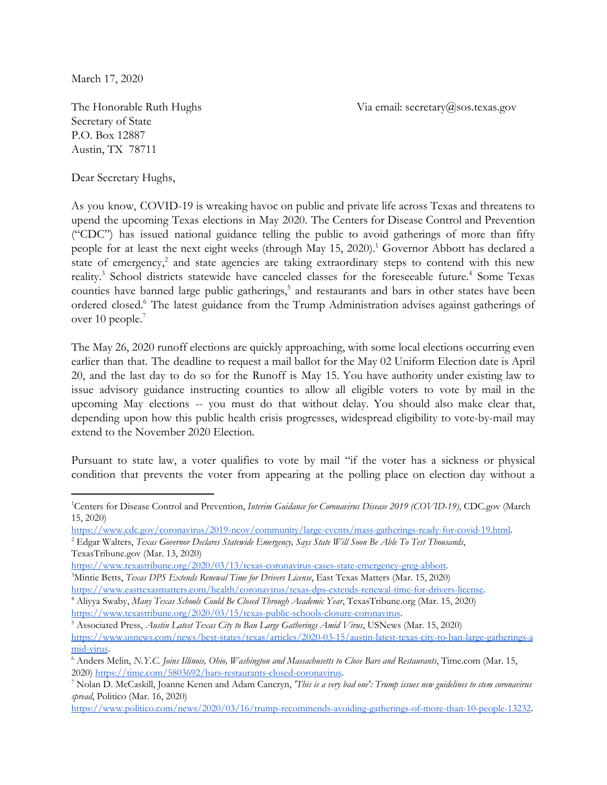March 17, 2020

The Honorable Ruth Hughs Via email: secretary@sos.texas.gov

Secretary of State P.O. Box 12887 Austin, TX 78711

Dear Secretary Hughs,

As you know, COVID-19 is wreaking havoc on public and private life across Texas and threatens to upend the upcoming Texas elections in May 2020. The Centers for Disease Control and Prevention ("CDC") has issued national guidance telling the public to avoid gatherings of more than fifty people for at least the next eight weeks (through May 15, 2020).<sup>1</sup> Governor Abbott has declared a state of emergency, $\epsilon$  and state agencies are taking extraordinary steps to contend with this new reality.<sup>3</sup> School districts statewide have canceled classes for the foreseeable future.<sup>4</sup> Some Texas counties have banned large public gatherings,<sup>5</sup> and restaurants and bars in other states have been ordered closed.<sup>6</sup> The latest guidance from the Trump Administration advises against gatherings of over 10 people.<sup>7</sup>

The May 26, 2020 runoff elections are quickly approaching, with some local elections occurring even earlier than that. The deadline to request a mail ballot for the May 02 Uniform Election date is April 20, and the last day to do so for the Runoff is May 15. You have authority under existing law to issue advisory guidance instructing counties to allow all eligible voters to vote by mail in the upcoming May elections -- you must do that without delay. You should also make clear that, depending upon how this public health crisis progresses, widespread eligibility to vote-by-mail may extend to the November 2020 Election.

Pursuant to state law, a voter qualifies to vote by mail "if the voter has a sickness or physical condition that prevents the voter from appearing at the polling place on election day without a

[https://www.politico.com/news/2020/03/16/trump-recommends-avoiding-gatherings-of-more-than-10-people-13232.](https://www.politico.com/news/2020/03/16/trump-recommends-avoiding-gatherings-of-more-than-10-people-132323)

<sup>1</sup>Centers for Disease Control and Prevention, *Interim Guidance for Coronavirus Disease 2019 (COVID-19)*, CDC.gov (March 15, 2020)

<https://www.cdc.gov/coronavirus/2019-ncov/community/large-events/mass-gatherings-ready-for-covid-19.html>.

<sup>2</sup> Edgar Walters, *Texas Governor Declares Statewide Emergency, Says State Will Soon Be Able To Test Thousands*, TexasTribune.gov (Mar. 13, 2020)

[https://www.texastribune.org/2020/03/13/texas-coronavirus-cases-state-emergency-greg-abbott](https://www.texastribune.org/2020/03/13/texas-coronavirus-cases-state-emergency-greg-abbott/).

<sup>3</sup>Mintie Betts, *Texas DPS Extends Renewal Time for Drivers License*, East Texas Matters (Mar. 15, 2020)

[https://www.easttexasmatters.com/health/coronavirus/texas-dps-extends-renewal-time-for-drivers-license.](https://www.easttexasmatters.com/health/coronavirus/texas-dps-extends-renewal-time-for-drivers-license/)

<sup>4</sup> Aliyya Swaby, *Many Texas Schools Could Be Closed Through Academic Year*, TexasTribune.org (Mar. 15, 2020) [https://www.texastribune.org/2020/03/15/texas-public-schools-closure-coronavirus.](https://www.texastribune.org/2020/03/15/texas-public-schools-closure-coronavirus/)

<sup>5</sup> Associated Press, *Austin Latest Texas City to Ban Large Gatherings Amid Virus*, USNews (Mar. 15, 2020)

[https://www.usnews.com/news/best-states/texas/articles/2020-03-15/austin-latest-texas-city-to-ban-large-gatherings-a](https://www.usnews.com/news/best-states/texas/articles/2020-03-15/austin-latest-texas-city-to-ban-large-gatherings-amid-virus) [mid-virus.](https://www.usnews.com/news/best-states/texas/articles/2020-03-15/austin-latest-texas-city-to-ban-large-gatherings-amid-virus)

<sup>6</sup> Anders Melin, *N.Y.C. Joins Illinois, Ohio, Washington and Massachusetts to Close Bars and Restaurants*, Time.com (Mar. 15, 2020) [https://time.com/5803692/bars-restaurants-closed-coronavirus.](https://time.com/5803692/bars-restaurants-closed-coronavirus/)

<sup>7</sup> Nolan D. McCaskill, Joanne Kenen and Adam Cancryn, *'This is a very bad one': Trump issues new guidelines to stem coronavirus spread*, Politico (Mar. 16, 2020)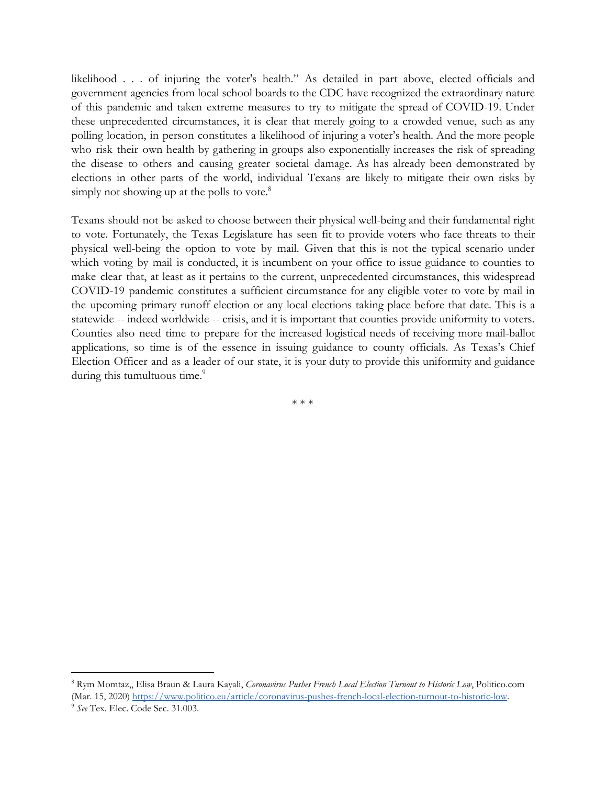likelihood . . . of injuring the voter's health." As detailed in part above, elected officials and government agencies from local school boards to the CDC have recognized the extraordinary nature of this pandemic and taken extreme measures to try to mitigate the spread of COVID-19. Under these unprecedented circumstances, it is clear that merely going to a crowded venue, such as any polling location, in person constitutes a likelihood of injuring a voter's health. And the more people who risk their own health by gathering in groups also exponentially increases the risk of spreading the disease to others and causing greater societal damage. As has already been demonstrated by elections in other parts of the world, individual Texans are likely to mitigate their own risks by simply not showing up at the polls to vote.<sup>8</sup>

Texans should not be asked to choose between their physical well-being and their fundamental right to vote. Fortunately, the Texas Legislature has seen fit to provide voters who face threats to their physical well-being the option to vote by mail. Given that this is not the typical scenario under which voting by mail is conducted, it is incumbent on your office to issue guidance to counties to make clear that, at least as it pertains to the current, unprecedented circumstances, this widespread COVID-19 pandemic constitutes a sufficient circumstance for any eligible voter to vote by mail in the upcoming primary runoff election or any local elections taking place before that date. This is a statewide -- indeed worldwide -- crisis, and it is important that counties provide uniformity to voters. Counties also need time to prepare for the increased logistical needs of receiving more mail-ballot applications, so time is of the essence in issuing guidance to county officials. As Texas's Chief Election Officer and as a leader of our state, it is your duty to provide this uniformity and guidance during this tumultuous time.<sup>9</sup>

\* \* \*

<sup>8</sup> Rym Momtaz,, Elisa Braun & Laura Kayali, *Coronavirus Pushes French Local Election Turnout to Historic Low*, Politico.com (Mar. 15, 2020) [https://www.politico.eu/article/coronavirus-pushes-french-local-election-turnout-to-historic-low.](https://www.politico.eu/article/coronavirus-pushes-french-local-election-turnout-to-historic-low/)

<sup>9</sup> *See* Tex. Elec. Code Sec. 31.003.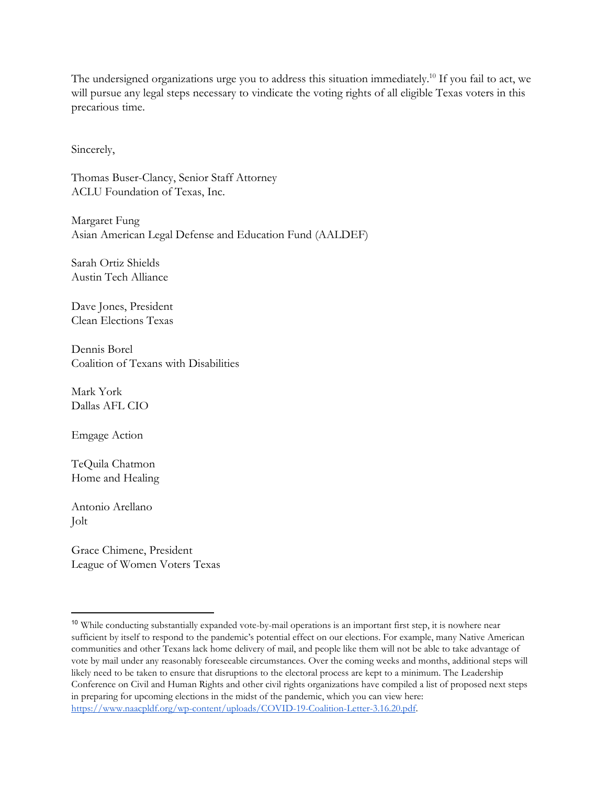The undersigned organizations urge you to address this situation immediately.<sup>10</sup> If you fail to act, we will pursue any legal steps necessary to vindicate the voting rights of all eligible Texas voters in this precarious time.

Sincerely,

Thomas Buser-Clancy, Senior Staff Attorney ACLU Foundation of Texas, Inc.

Margaret Fung Asian American Legal Defense and Education Fund (AALDEF)

Sarah Ortiz Shields Austin Tech Alliance

Dave Jones, President Clean Elections Texas

Dennis Borel Coalition of Texans with Disabilities

Mark York Dallas AFL CIO

Emgage Action

TeQuila Chatmon Home and Healing

Antonio Arellano Jolt

Grace Chimene, President League of Women Voters Texas

<sup>&</sup>lt;sup>10</sup> While conducting substantially expanded vote-by-mail operations is an important first step, it is nowhere near sufficient by itself to respond to the pandemic's potential effect on our elections. For example, many Native American communities and other Texans lack home delivery of mail, and people like them will not be able to take advantage of vote by mail under any reasonably foreseeable circumstances. Over the coming weeks and months, additional steps will likely need to be taken to ensure that disruptions to the electoral process are kept to a minimum. The Leadership Conference on Civil and Human Rights and other civil rights organizations have compiled a list of proposed next steps in preparing for upcoming elections in the midst of the pandemic, which you can view here: <https://www.naacpldf.org/wp-content/uploads/COVID-19-Coalition-Letter-3.16.20.pdf>.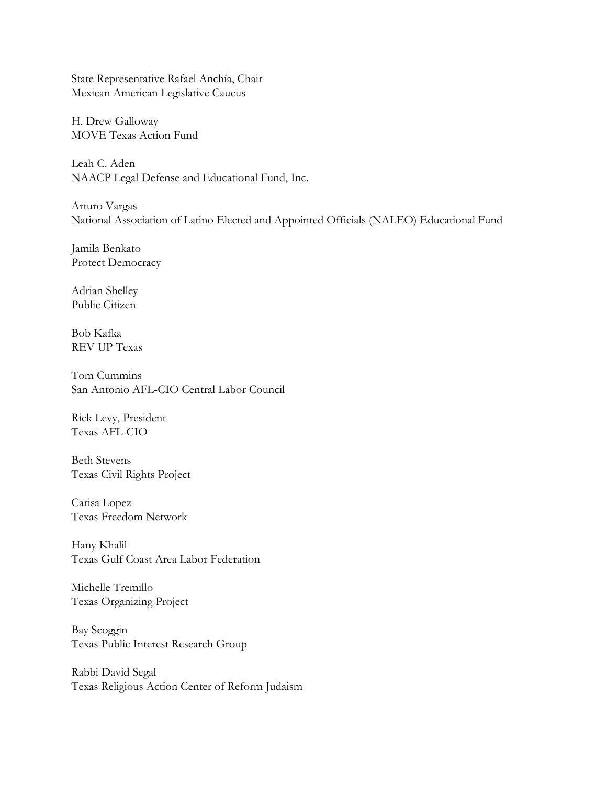State Representative Rafael Anchía, Chair Mexican American Legislative Caucus

H. Drew Galloway MOVE Texas Action Fund

Leah C. Aden NAACP Legal Defense and Educational Fund, Inc.

Arturo Vargas National Association of Latino Elected and Appointed Officials (NALEO) Educational Fund

Jamila Benkato Protect Democracy

Adrian Shelley Public Citizen

Bob Kafka REV UP Texas

Tom Cummins San Antonio AFL-CIO Central Labor Council

Rick Levy, President Texas AFL-CIO

Beth Stevens Texas Civil Rights Project

Carisa Lopez Texas Freedom Network

Hany Khalil Texas Gulf Coast Area Labor Federation

Michelle Tremillo Texas Organizing Project

Bay Scoggin Texas Public Interest Research Group

Rabbi David Segal Texas Religious Action Center of Reform Judaism